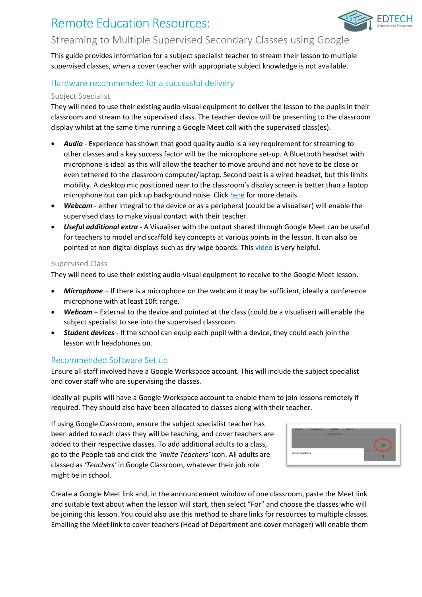# Remote Education Resources:



This guide provides information for a subject specialist teacher to stream their lesson to multiple supervised classes, when a cover teacher with appropriate subject knowledge is not available.

## Hardware recommended for a successful delivery

#### Subject Specialist

They will need to use their existing audio-visual equipment to deliver the lesson to the pupils in their classroom and stream to the supervised class. The teacher device will be presenting to the classroom display whilst at the same time running a Google Meet call with the supervised class(es).

- *Audio* Experience has shown that good quality audio is a key requirement for streaming to other classes and a key success factor will be the microphone set-up. A Bluetooth headset with microphone is ideal as this will allow the teacher to move around and not have to be close or even tethered to the classroom computer/laptop. Second best is a wired headset, but this limits mobility. A desktop mic positioned near to the classroom's display screen is better than a laptop microphone but can pick up background noise. Clic[k here](https://edtechdemo.ucst.uk/news-views/blogs-media/artmid/880/articleid/10/hybrid-lessons-overcoming-the-challenge-of-simultaneously-teaching-both-physically-present-and-remote-pupils-by-james-garnett) for more details.
- *Webcam* either integral to the device or as a peripheral (could be a visualiser) will enable the supervised class to make visual contact with their teacher.
- *Useful additional extra* A Visualiser with the output shared through Google Meet can be useful for teachers to model and scaffold key concepts at various points in the lesson. It can also be pointed at non digital displays such as dry-wipe boards. This [video](https://www.youtube.com/watch?v=0ZzEx4AmvQg) is very helpful.

#### Supervised Class

They will need to use their existing audio-visual equipment to receive to the Google Meet lesson.

- *Microphone* If there is a microphone on the webcam it may be sufficient, ideally a conference microphone with at least 10ft range.
- *Webcam* External to the device and pointed at the class (could be a visualiser) will enable the subject specialist to see into the supervised classroom.
- *Student devices* If the school can equip each pupil with a device, they could each join the lesson with headphones on.

### Recommended Software Set up

Ensure all staff involved have a Google Workspace account. This will include the subject specialist and cover staff who are supervising the classes.

Ideally all pupils will have a Google Workspace account to enable them to join lessons remotely if required. They should also have been allocated to classes along with their teacher.

If using Google Classroom, ensure the subject specialist teacher has been added to each class they will be teaching, and cover teachers are added to their respective classes. To add additional adults to a class, go to the People tab and click the *'Invite Teachers'* icon. All adults are classed as *'Teachers'* in Google Classroom, whatever their job role might be in school.



**FDTFCH** 

Create a Google Meet link and, in the announcement window of one classroom, paste the Meet link and suitable text about when the lesson will start, then select "For" and choose the classes who will be joining this lesson. You could also use this method to share links for resources to multiple classes. Emailing the Meet link to cover teachers (Head of Department and cover manager) will enable them